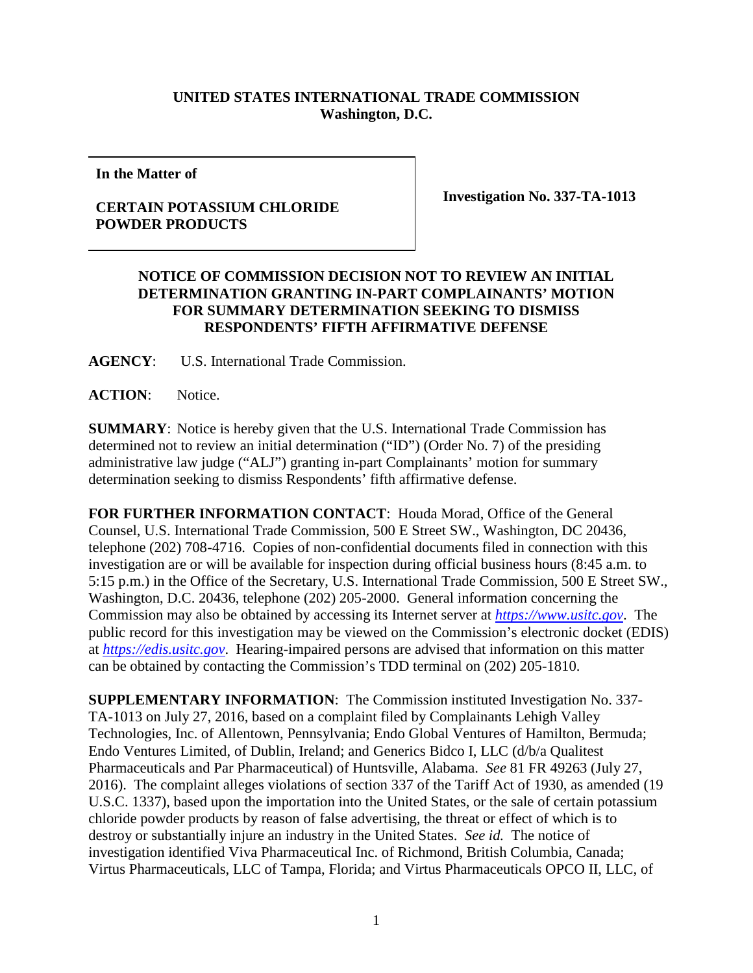## **UNITED STATES INTERNATIONAL TRADE COMMISSION Washington, D.C.**

**In the Matter of**

## **CERTAIN POTASSIUM CHLORIDE POWDER PRODUCTS**

**Investigation No. 337-TA-1013**

## **NOTICE OF COMMISSION DECISION NOT TO REVIEW AN INITIAL DETERMINATION GRANTING IN-PART COMPLAINANTS' MOTION FOR SUMMARY DETERMINATION SEEKING TO DISMISS RESPONDENTS' FIFTH AFFIRMATIVE DEFENSE**

**AGENCY**: U.S. International Trade Commission.

**ACTION**: Notice.

**SUMMARY**: Notice is hereby given that the U.S. International Trade Commission has determined not to review an initial determination ("ID") (Order No. 7) of the presiding administrative law judge ("ALJ") granting in-part Complainants' motion for summary determination seeking to dismiss Respondents' fifth affirmative defense.

**FOR FURTHER INFORMATION CONTACT**: Houda Morad, Office of the General Counsel, U.S. International Trade Commission, 500 E Street SW., Washington, DC 20436, telephone (202) 708-4716. Copies of non-confidential documents filed in connection with this investigation are or will be available for inspection during official business hours (8:45 a.m. to 5:15 p.m.) in the Office of the Secretary, U.S. International Trade Commission, 500 E Street SW., Washington, D.C. 20436, telephone (202) 205-2000. General information concerning the Commission may also be obtained by accessing its Internet server at *[https://www.usitc.gov](https://www.usitc.gov/)*. The public record for this investigation may be viewed on the Commission's electronic docket (EDIS) at *[https://edis.usitc.gov](http://edis.usitc.gov/)*. Hearing-impaired persons are advised that information on this matter can be obtained by contacting the Commission's TDD terminal on (202) 205-1810.

**SUPPLEMENTARY INFORMATION**: The Commission instituted Investigation No. 337- TA-1013 on July 27, 2016, based on a complaint filed by Complainants Lehigh Valley Technologies, Inc. of Allentown, Pennsylvania; Endo Global Ventures of Hamilton, Bermuda; Endo Ventures Limited, of Dublin, Ireland; and Generics Bidco I, LLC (d/b/a Qualitest Pharmaceuticals and Par Pharmaceutical) of Huntsville, Alabama. *See* 81 FR 49263 (July 27, 2016). The complaint alleges violations of section 337 of the Tariff Act of 1930, as amended (19 U.S.C. 1337), based upon the importation into the United States, or the sale of certain potassium chloride powder products by reason of false advertising, the threat or effect of which is to destroy or substantially injure an industry in the United States. *See id.* The notice of investigation identified Viva Pharmaceutical Inc. of Richmond, British Columbia, Canada; Virtus Pharmaceuticals, LLC of Tampa, Florida; and Virtus Pharmaceuticals OPCO II, LLC, of